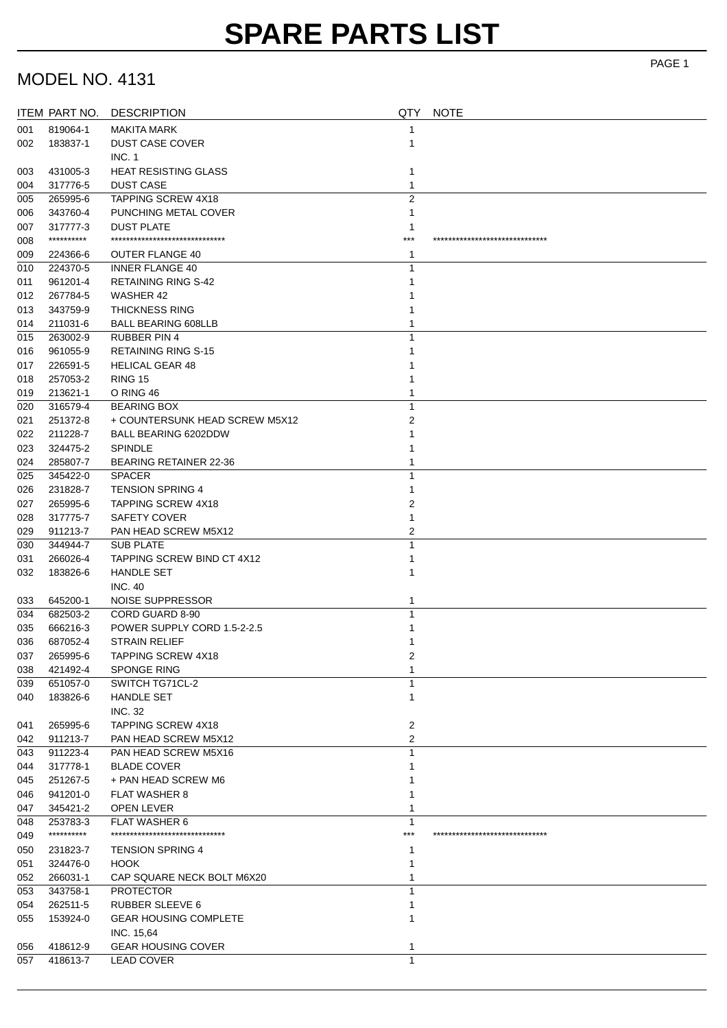### MODEL NO. 4131

|     | ITEM PART NO. | <b>DESCRIPTION</b>                | QTY            | <b>NOTE</b>                    |
|-----|---------------|-----------------------------------|----------------|--------------------------------|
| 001 | 819064-1      | MAKITA MARK                       |                |                                |
| 002 | 183837-1      | <b>DUST CASE COVER</b>            |                |                                |
|     |               | INC. 1                            |                |                                |
| 003 | 431005-3      | <b>HEAT RESISTING GLASS</b>       |                |                                |
| 004 | 317776-5      | <b>DUST CASE</b>                  | 1              |                                |
| 005 | 265995-6      | TAPPING SCREW 4X18                | $\overline{2}$ |                                |
| 006 | 343760-4      | PUNCHING METAL COVER              |                |                                |
| 007 | 317777-3      | <b>DUST PLATE</b>                 |                |                                |
| 008 | **********    | ******************************    | ***            | ****************************** |
| 009 | 224366-6      | <b>OUTER FLANGE 40</b>            |                |                                |
| 010 | 224370-5      | <b>INNER FLANGE 40</b>            |                |                                |
| 011 | 961201-4      | <b>RETAINING RING S-42</b>        |                |                                |
| 012 | 267784-5      | WASHER 42                         |                |                                |
| 013 | 343759-9      | <b>THICKNESS RING</b>             |                |                                |
| 014 | 211031-6      | <b>BALL BEARING 608LLB</b>        |                |                                |
| 015 | 263002-9      | RUBBER PIN 4                      |                |                                |
| 016 | 961055-9      | <b>RETAINING RING S-15</b>        |                |                                |
| 017 | 226591-5      | <b>HELICAL GEAR 48</b>            |                |                                |
| 018 | 257053-2      | <b>RING 15</b>                    |                |                                |
| 019 | 213621-1      | O RING 46                         |                |                                |
| 020 | 316579-4      | <b>BEARING BOX</b>                |                |                                |
| 021 | 251372-8      | + COUNTERSUNK HEAD SCREW M5X12    | 2              |                                |
| 022 | 211228-7      | BALL BEARING 6202DDW              |                |                                |
| 023 | 324475-2      | <b>SPINDLE</b>                    |                |                                |
| 024 | 285807-7      | <b>BEARING RETAINER 22-36</b>     |                |                                |
| 025 | 345422-0      | <b>SPACER</b>                     | 1              |                                |
| 026 | 231828-7      | <b>TENSION SPRING 4</b>           |                |                                |
| 027 | 265995-6      | <b>TAPPING SCREW 4X18</b>         | 2              |                                |
| 028 | 317775-7      | <b>SAFETY COVER</b>               | 1              |                                |
| 029 | 911213-7      | PAN HEAD SCREW M5X12              | 2              |                                |
| 030 | 344944-7      | <b>SUB PLATE</b>                  |                |                                |
| 031 | 266026-4      | <b>TAPPING SCREW BIND CT 4X12</b> |                |                                |
| 032 | 183826-6      | <b>HANDLE SET</b>                 |                |                                |
|     |               | <b>INC. 40</b>                    |                |                                |
| 033 | 645200-1      | NOISE SUPPRESSOR                  | 1              |                                |
| 034 | 682503-2      | CORD GUARD 8-90                   |                |                                |
| 035 | 666216-3      | POWER SUPPLY CORD 1.5-2-2.5       |                |                                |
| 036 | 687052-4      | <b>STRAIN RELIEF</b>              |                |                                |
| 037 | 265995-6      | TAPPING SCREW 4X18                | 2              |                                |
| 038 | 421492-4      | <b>SPONGE RING</b>                | 1              |                                |
| 039 | 651057-0      | SWITCH TG71CL-2                   |                |                                |
| 040 | 183826-6      | <b>HANDLE SET</b>                 | 1              |                                |
|     |               | <b>INC. 32</b>                    |                |                                |
| 041 | 265995-6      | <b>TAPPING SCREW 4X18</b>         | 2              |                                |
| 042 | 911213-7      | PAN HEAD SCREW M5X12              | 2              |                                |
| 043 | 911223-4      | PAN HEAD SCREW M5X16              | 1              |                                |
| 044 | 317778-1      | <b>BLADE COVER</b>                |                |                                |
| 045 | 251267-5      | + PAN HEAD SCREW M6               |                |                                |
| 046 | 941201-0      | <b>FLAT WASHER 8</b>              |                |                                |
| 047 | 345421-2      | OPEN LEVER                        |                |                                |
| 048 | 253783-3      | <b>FLAT WASHER 6</b>              | 1              |                                |
| 049 | **********    | ************************          | ***            | ****************************** |
| 050 | 231823-7      | <b>TENSION SPRING 4</b>           |                |                                |
| 051 | 324476-0      | <b>HOOK</b>                       |                |                                |
| 052 | 266031-1      | CAP SQUARE NECK BOLT M6X20        |                |                                |
| 053 | 343758-1      | <b>PROTECTOR</b>                  | 1              |                                |
| 054 | 262511-5      | <b>RUBBER SLEEVE 6</b>            |                |                                |
| 055 | 153924-0      | <b>GEAR HOUSING COMPLETE</b>      |                |                                |
|     |               | INC. 15,64                        |                |                                |
| 056 | 418612-9      | <b>GEAR HOUSING COVER</b>         | 1              |                                |
| 057 | 418613-7      | <b>LEAD COVER</b>                 | $\mathbf{1}$   |                                |
|     |               |                                   |                |                                |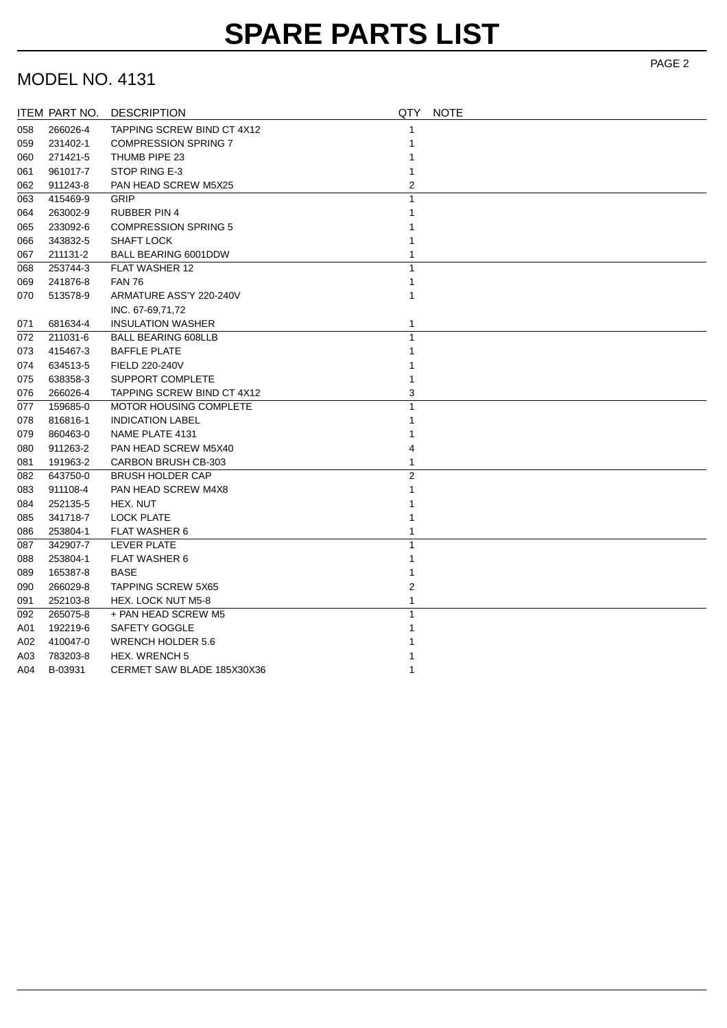# **SPARE PARTS LIST**

#### MODEL NO. 4131

|     | ITEM PART NO. | <b>DESCRIPTION</b>            | QTY          | <b>NOTE</b> |
|-----|---------------|-------------------------------|--------------|-------------|
| 058 | 266026-4      | TAPPING SCREW BIND CT 4X12    | 1            |             |
| 059 | 231402-1      | <b>COMPRESSION SPRING 7</b>   |              |             |
| 060 | 271421-5      | THUMB PIPE 23                 |              |             |
| 061 | 961017-7      | STOP RING E-3                 |              |             |
| 062 | 911243-8      | PAN HEAD SCREW M5X25          | 2            |             |
| 063 | 415469-9      | GRIP                          | 1            |             |
| 064 | 263002-9      | <b>RUBBER PIN 4</b>           |              |             |
| 065 | 233092-6      | <b>COMPRESSION SPRING 5</b>   |              |             |
| 066 | 343832-5      | <b>SHAFT LOCK</b>             |              |             |
| 067 | 211131-2      | <b>BALL BEARING 6001DDW</b>   |              |             |
| 068 | 253744-3      | <b>FLAT WASHER 12</b>         | 1            |             |
| 069 | 241876-8      | <b>FAN 76</b>                 | 1            |             |
| 070 | 513578-9      | ARMATURE ASS'Y 220-240V       | 1            |             |
|     |               | INC. 67-69,71,72              |              |             |
| 071 | 681634-4      | <b>INSULATION WASHER</b>      | 1            |             |
| 072 | 211031-6      | <b>BALL BEARING 608LLB</b>    | $\mathbf{1}$ |             |
| 073 | 415467-3      | <b>BAFFLE PLATE</b>           |              |             |
| 074 | 634513-5      | FIELD 220-240V                |              |             |
| 075 | 638358-3      | SUPPORT COMPLETE              |              |             |
| 076 | 266026-4      | TAPPING SCREW BIND CT 4X12    | 3            |             |
| 077 | 159685-0      | <b>MOTOR HOUSING COMPLETE</b> | $\mathbf{1}$ |             |
| 078 | 816816-1      | <b>INDICATION LABEL</b>       |              |             |
| 079 | 860463-0      | NAME PLATE 4131               |              |             |
| 080 | 911263-2      | PAN HEAD SCREW M5X40          | 4            |             |
| 081 | 191963-2      | CARBON BRUSH CB-303           |              |             |
| 082 | 643750-0      | <b>BRUSH HOLDER CAP</b>       | 2            |             |
| 083 | 911108-4      | PAN HEAD SCREW M4X8           | 1            |             |
| 084 | 252135-5      | HEX. NUT                      |              |             |
| 085 | 341718-7      | <b>LOCK PLATE</b>             |              |             |
| 086 | 253804-1      | <b>FLAT WASHER 6</b>          |              |             |
| 087 | 342907-7      | LEVER PLATE                   | 1            |             |
| 088 | 253804-1      | <b>FLAT WASHER 6</b>          |              |             |
| 089 | 165387-8      | <b>BASE</b>                   | 1            |             |
| 090 | 266029-8      | <b>TAPPING SCREW 5X65</b>     | 2            |             |
| 091 | 252103-8      | <b>HEX. LOCK NUT M5-8</b>     |              |             |
| 092 | 265075-8      | + PAN HEAD SCREW M5           | 1            |             |
| A01 | 192219-6      | SAFETY GOGGLE                 |              |             |
| A02 | 410047-0      | <b>WRENCH HOLDER 5.6</b>      |              |             |
| A03 | 783203-8      | HEX. WRENCH 5                 |              |             |
| A04 | B-03931       | CERMET SAW BLADE 185X30X36    |              |             |

PAGE 2